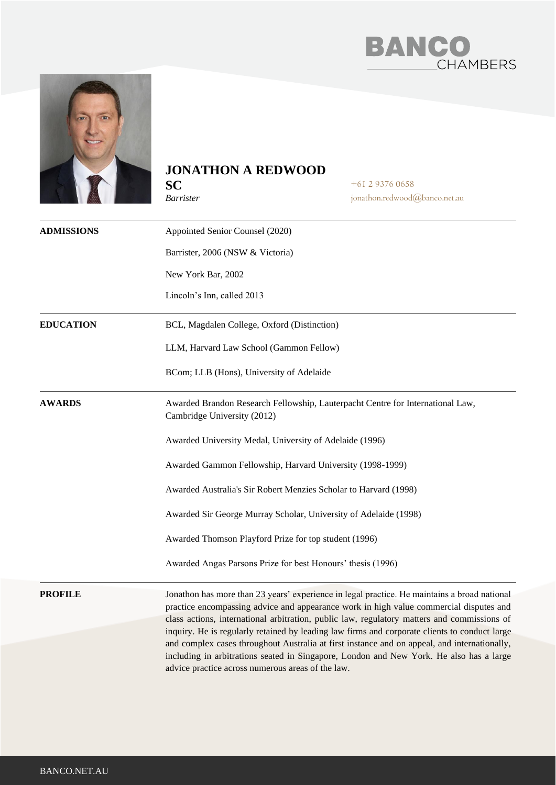



## **JONATHON A REDWOOD**

**SC** *Barrister* +61 2 9376 0658 jonathon.redwood@banco.net.au

| <b>ADMISSIONS</b> | Appointed Senior Counsel (2020)                                                                                                                                                                                                                                                                                                                                                                                                                                                        |
|-------------------|----------------------------------------------------------------------------------------------------------------------------------------------------------------------------------------------------------------------------------------------------------------------------------------------------------------------------------------------------------------------------------------------------------------------------------------------------------------------------------------|
|                   | Barrister, 2006 (NSW & Victoria)                                                                                                                                                                                                                                                                                                                                                                                                                                                       |
|                   | New York Bar, 2002                                                                                                                                                                                                                                                                                                                                                                                                                                                                     |
|                   | Lincoln's Inn, called 2013                                                                                                                                                                                                                                                                                                                                                                                                                                                             |
| <b>EDUCATION</b>  | BCL, Magdalen College, Oxford (Distinction)                                                                                                                                                                                                                                                                                                                                                                                                                                            |
|                   | LLM, Harvard Law School (Gammon Fellow)                                                                                                                                                                                                                                                                                                                                                                                                                                                |
|                   | BCom; LLB (Hons), University of Adelaide                                                                                                                                                                                                                                                                                                                                                                                                                                               |
| <b>AWARDS</b>     | Awarded Brandon Research Fellowship, Lauterpacht Centre for International Law,<br>Cambridge University (2012)                                                                                                                                                                                                                                                                                                                                                                          |
|                   | Awarded University Medal, University of Adelaide (1996)                                                                                                                                                                                                                                                                                                                                                                                                                                |
|                   | Awarded Gammon Fellowship, Harvard University (1998-1999)                                                                                                                                                                                                                                                                                                                                                                                                                              |
|                   | Awarded Australia's Sir Robert Menzies Scholar to Harvard (1998)                                                                                                                                                                                                                                                                                                                                                                                                                       |
|                   | Awarded Sir George Murray Scholar, University of Adelaide (1998)                                                                                                                                                                                                                                                                                                                                                                                                                       |
|                   | Awarded Thomson Playford Prize for top student (1996)                                                                                                                                                                                                                                                                                                                                                                                                                                  |
|                   | Awarded Angas Parsons Prize for best Honours' thesis (1996)                                                                                                                                                                                                                                                                                                                                                                                                                            |
| <b>PROFILE</b>    | Jonathon has more than 23 years' experience in legal practice. He maintains a broad national<br>practice encompassing advice and appearance work in high value commercial disputes and<br>class actions, international arbitration, public law, regulatory matters and commissions of<br>inquiry. He is regularly retained by leading law firms and corporate clients to conduct large<br>and complex cases throughout Australia at first instance and on appeal, and internationally, |
|                   | including in arbitrations seated in Singapore, London and New York. He also has a large<br>advice practice across numerous areas of the law.                                                                                                                                                                                                                                                                                                                                           |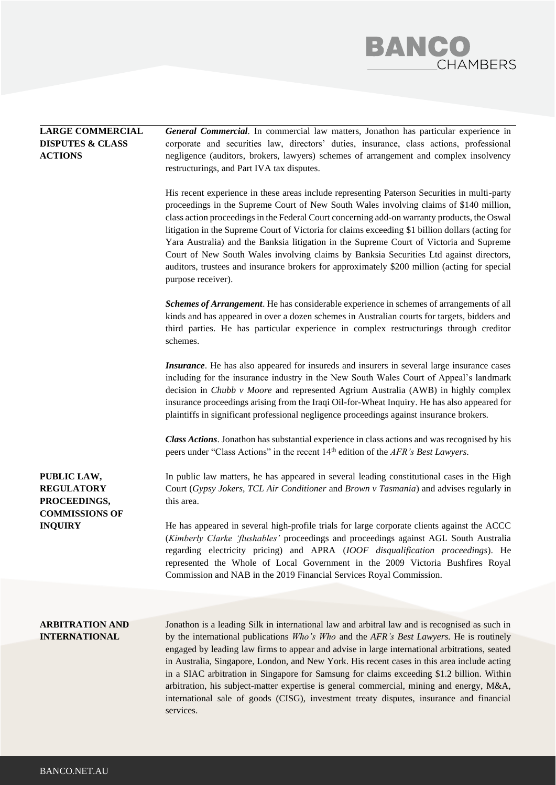## **BANCO**<br>CHAMBERS

| <b>LARGE COMMERCIAL</b><br><b>DISPUTES &amp; CLASS</b><br><b>ACTIONS</b>  | <b>General Commercial.</b> In commercial law matters, Jonathon has particular experience in<br>corporate and securities law, directors' duties, insurance, class actions, professional<br>negligence (auditors, brokers, lawyers) schemes of arrangement and complex insolvency<br>restructurings, and Part IVA tax disputes.                                                                                                                                                                                                                                                                                                                                                                         |
|---------------------------------------------------------------------------|-------------------------------------------------------------------------------------------------------------------------------------------------------------------------------------------------------------------------------------------------------------------------------------------------------------------------------------------------------------------------------------------------------------------------------------------------------------------------------------------------------------------------------------------------------------------------------------------------------------------------------------------------------------------------------------------------------|
|                                                                           | His recent experience in these areas include representing Paterson Securities in multi-party<br>proceedings in the Supreme Court of New South Wales involving claims of \$140 million,<br>class action proceedings in the Federal Court concerning add-on warranty products, the Oswal<br>litigation in the Supreme Court of Victoria for claims exceeding \$1 billion dollars (acting for<br>Yara Australia) and the Banksia litigation in the Supreme Court of Victoria and Supreme<br>Court of New South Wales involving claims by Banksia Securities Ltd against directors,<br>auditors, trustees and insurance brokers for approximately \$200 million (acting for special<br>purpose receiver). |
|                                                                           | Schemes of Arrangement. He has considerable experience in schemes of arrangements of all<br>kinds and has appeared in over a dozen schemes in Australian courts for targets, bidders and<br>third parties. He has particular experience in complex restructurings through creditor<br>schemes.                                                                                                                                                                                                                                                                                                                                                                                                        |
|                                                                           | <i>Insurance</i> . He has also appeared for insureds and insurers in several large insurance cases<br>including for the insurance industry in the New South Wales Court of Appeal's landmark<br>decision in <i>Chubb v Moore</i> and represented Agrium Australia (AWB) in highly complex<br>insurance proceedings arising from the Iraqi Oil-for-Wheat Inquiry. He has also appeared for<br>plaintiffs in significant professional negligence proceedings against insurance brokers.                                                                                                                                                                                                                 |
|                                                                           | Class Actions. Jonathon has substantial experience in class actions and was recognised by his<br>peers under "Class Actions" in the recent 14 <sup>th</sup> edition of the AFR's Best Lawyers.                                                                                                                                                                                                                                                                                                                                                                                                                                                                                                        |
| PUBLIC LAW,<br><b>REGULATORY</b><br>PROCEEDINGS,<br><b>COMMISSIONS OF</b> | In public law matters, he has appeared in several leading constitutional cases in the High<br>Court (Gypsy Jokers, TCL Air Conditioner and Brown v Tasmania) and advises regularly in<br>this area.                                                                                                                                                                                                                                                                                                                                                                                                                                                                                                   |
| <b>INQUIRY</b>                                                            | He has appeared in several high-profile trials for large corporate clients against the ACCC<br>(Kimberly Clarke 'flushables' proceedings and proceedings against AGL South Australia<br>regarding electricity pricing) and APRA (IOOF disqualification proceedings). He<br>represented the Whole of Local Government in the 2009 Victoria Bushfires Royal<br>Commission and NAB in the 2019 Financial Services Royal Commission.                                                                                                                                                                                                                                                                      |
|                                                                           |                                                                                                                                                                                                                                                                                                                                                                                                                                                                                                                                                                                                                                                                                                       |
| <b>ARBITRATION AND</b><br><b>INTERNATIONAL</b>                            | Jonathon is a leading Silk in international law and arbitral law and is recognised as such in<br>by the international publications Who's Who and the AFR's Best Lawyers. He is routinely<br>engaged by leading law firms to appear and advise in large international arbitrations, seated<br>in Australia, Singapore, London, and New York. His recent cases in this area include acting<br>in a SIAC arbitration in Singapore for Samsung for claims exceeding \$1.2 billion. Within<br>arbitration, his subject-matter expertise is general commercial, mining and energy, M&A,<br>international sale of goods (CISG), investment treaty disputes, insurance and financial<br>services.             |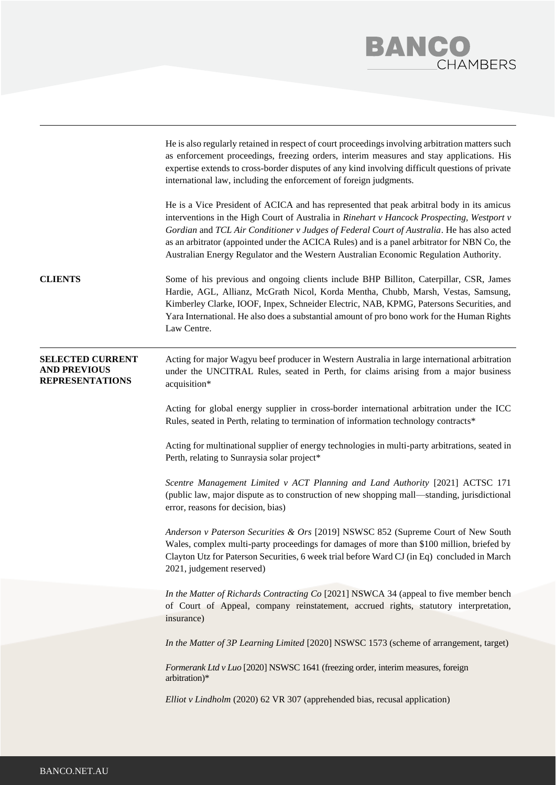

|                                                                          | He is also regularly retained in respect of court proceedings involving arbitration matters such<br>as enforcement proceedings, freezing orders, interim measures and stay applications. His<br>expertise extends to cross-border disputes of any kind involving difficult questions of private<br>international law, including the enforcement of foreign judgments.                                                                                                         |
|--------------------------------------------------------------------------|-------------------------------------------------------------------------------------------------------------------------------------------------------------------------------------------------------------------------------------------------------------------------------------------------------------------------------------------------------------------------------------------------------------------------------------------------------------------------------|
|                                                                          | He is a Vice President of ACICA and has represented that peak arbitral body in its amicus<br>interventions in the High Court of Australia in Rinehart v Hancock Prospecting, Westport v<br>Gordian and TCL Air Conditioner v Judges of Federal Court of Australia. He has also acted<br>as an arbitrator (appointed under the ACICA Rules) and is a panel arbitrator for NBN Co, the<br>Australian Energy Regulator and the Western Australian Economic Regulation Authority. |
| <b>CLIENTS</b>                                                           | Some of his previous and ongoing clients include BHP Billiton, Caterpillar, CSR, James<br>Hardie, AGL, Allianz, McGrath Nicol, Korda Mentha, Chubb, Marsh, Vestas, Samsung,<br>Kimberley Clarke, IOOF, Inpex, Schneider Electric, NAB, KPMG, Patersons Securities, and<br>Yara International. He also does a substantial amount of pro bono work for the Human Rights<br>Law Centre.                                                                                          |
| <b>SELECTED CURRENT</b><br><b>AND PREVIOUS</b><br><b>REPRESENTATIONS</b> | Acting for major Wagyu beef producer in Western Australia in large international arbitration<br>under the UNCITRAL Rules, seated in Perth, for claims arising from a major business<br>acquisition*                                                                                                                                                                                                                                                                           |
|                                                                          | Acting for global energy supplier in cross-border international arbitration under the ICC<br>Rules, seated in Perth, relating to termination of information technology contracts*                                                                                                                                                                                                                                                                                             |
|                                                                          | Acting for multinational supplier of energy technologies in multi-party arbitrations, seated in<br>Perth, relating to Sunraysia solar project*                                                                                                                                                                                                                                                                                                                                |
|                                                                          | Scentre Management Limited v ACT Planning and Land Authority [2021] ACTSC 171<br>(public law, major dispute as to construction of new shopping mall—standing, jurisdictional<br>error, reasons for decision, bias)                                                                                                                                                                                                                                                            |
|                                                                          | Anderson v Paterson Securities & Ors [2019] NSWSC 852 (Supreme Court of New South<br>Wales, complex multi-party proceedings for damages of more than \$100 million, briefed by<br>Clayton Utz for Paterson Securities, 6 week trial before Ward CJ (in Eq) concluded in March<br>2021, judgement reserved)                                                                                                                                                                    |
|                                                                          | In the Matter of Richards Contracting Co [2021] NSWCA 34 (appeal to five member bench<br>of Court of Appeal, company reinstatement, accrued rights, statutory interpretation,<br>insurance)                                                                                                                                                                                                                                                                                   |
|                                                                          | In the Matter of 3P Learning Limited [2020] NSWSC 1573 (scheme of arrangement, target)                                                                                                                                                                                                                                                                                                                                                                                        |
|                                                                          | Formerank Ltd v Luo [2020] NSWSC 1641 (freezing order, interim measures, foreign<br>arbitration)*                                                                                                                                                                                                                                                                                                                                                                             |
|                                                                          | Elliot v Lindholm (2020) 62 VR 307 (apprehended bias, recusal application)                                                                                                                                                                                                                                                                                                                                                                                                    |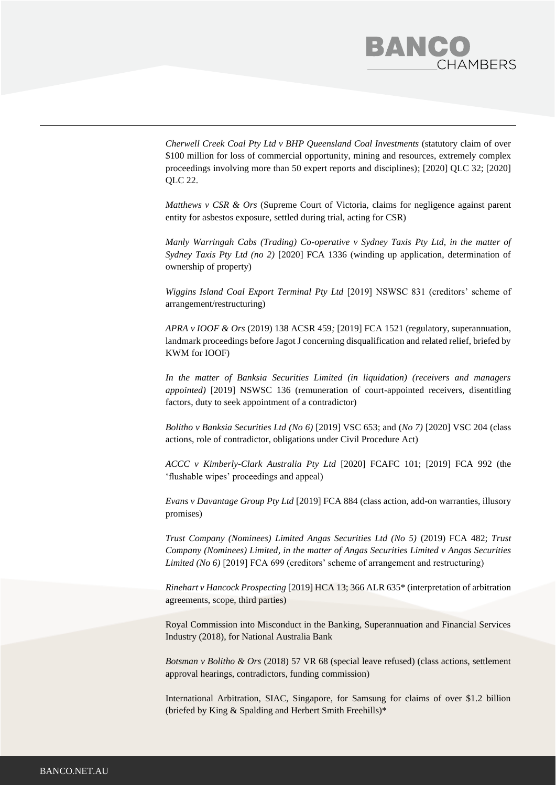## BANC **HAMBERS**

*Cherwell Creek Coal Pty Ltd v BHP Queensland Coal Investments* (statutory claim of over \$100 million for loss of commercial opportunity, mining and resources, extremely complex proceedings involving more than 50 expert reports and disciplines); [2020] QLC 32; [2020] QLC 22.

*Matthews v CSR & Ors* (Supreme Court of Victoria, claims for negligence against parent entity for asbestos exposure, settled during trial, acting for CSR)

*Manly Warringah Cabs (Trading) Co-operative v Sydney Taxis Pty Ltd, in the matter of Sydney Taxis Pty Ltd (no 2)* [2020] FCA 1336 (winding up application, determination of ownership of property)

*Wiggins Island Coal Export Terminal Pty Ltd* [2019] NSWSC 831 (creditors' scheme of arrangement/restructuring)

*APRA v IOOF & Ors* (2019) 138 ACSR 459*;* [2019] FCA 1521 (regulatory, superannuation, landmark proceedings before Jagot J concerning disqualification and related relief, briefed by KWM for IOOF)

*In the matter of Banksia Securities Limited (in liquidation) (receivers and managers appointed*) [2019] NSWSC 136 (remuneration of court-appointed receivers, disentitling factors, duty to seek appointment of a contradictor)

*Bolitho v Banksia Securities Ltd (No 6)* [2019] VSC 653; and (*No 7)* [2020] VSC 204 (class actions, role of contradictor, obligations under Civil Procedure Act)

*ACCC v Kimberly-Clark Australia Pty Ltd* [2020] FCAFC 101; [2019] FCA 992 (the 'flushable wipes' proceedings and appeal)

*Evans v Davantage Group Pty Ltd* [2019] FCA 884 (class action, add-on warranties, illusory promises)

*Trust Company (Nominees) Limited Angas Securities Ltd (No 5)* (2019) FCA 482; *Trust Company (Nominees) Limited, in the matter of Angas Securities Limited v Angas Securities Limited (No 6)* [2019] FCA 699 (creditors' scheme of arrangement and restructuring)

*Rinehart v Hancock Prospecting* [2019] HCA 13; 366 ALR 635\* (interpretation of arbitration agreements, scope, third parties)

[Royal Commission into Misconduct in the Banking, Superannuation and Financial Services](https://www.barristers.com.au/cases/royal-commission-into-misconduct-in-the-banking-superannuation-and-financial-services-industry-2018/?barrister_id=1742)  [Industry \(2018\),](https://www.barristers.com.au/cases/royal-commission-into-misconduct-in-the-banking-superannuation-and-financial-services-industry-2018/?barrister_id=1742) for National Australia Bank

*Botsman v Bolitho & Ors* (2018) 57 VR 68 (special leave refused) (class actions, settlement approval hearings, contradictors, funding commission)

[International Arbitration, SIAC, Singapore, for Samsung for claims of over \\$1.2 billion](https://www.barristers.com.au/cases/international-arbitration-siac-singapore-for-samsung-for-claims-of-over-1-2-billion/?barrister_id=1742) (briefed by King & Spalding and Herbert Smith Freehills)\*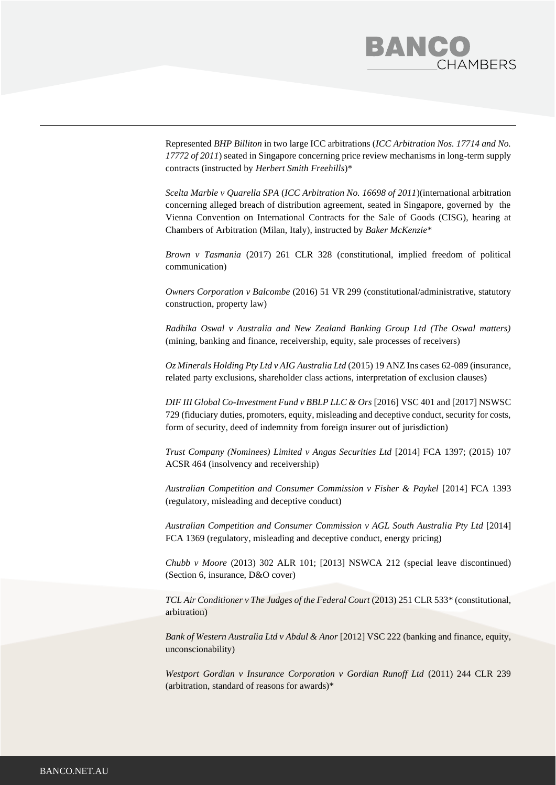

Represented *BHP Billiton* in two large ICC arbitrations (*ICC Arbitration Nos. 17714 and No. 17772 of 2011*) seated in Singapore concerning price review mechanisms in long-term supply contracts (instructed by *Herbert Smith Freehills*)\*

*Scelta Marble v Quarella SPA* (*ICC Arbitration No. 16698 of 2011*)(international arbitration concerning alleged breach of distribution agreement, seated in Singapore, governed by the Vienna Convention on International Contracts for the Sale of Goods (CISG), hearing at Chambers of Arbitration (Milan, Italy), instructed by *Baker McKenzie*\*

*Brown v Tasmania* [\(2017\) 261 CLR 328](https://www.barristers.com.au/cases/brown-v-tasmania-2017-hca-43/?barrister_id=1742) (constitutional, implied freedom of political communication)

*[Owners Corporation v Balcombe](https://www.barristers.com.au/cases/owners-corporation-v-balcombe-2016-51-vr-299/?barrister_id=1742)* (2016) 51 VR 299 (constitutional/administrative, statutory construction, property law)

*[Radhika Oswal v Australia and New Zealand Banking Group Ltd \(The Oswal matters\)](https://www.barristers.com.au/cases/oswal-v-australia-and-new-zealand-banking-group-ltd-supreme-court-of-victoria/?barrister_id=1742)* (mining, banking and finance, receivership, equity, sale processes of receivers)

*Oz Minerals Holding Pty Ltd v AIG Australia Ltd* (2015) 19 ANZ Ins cases 62-089 (insurance, related party exclusions, shareholder class actions, interpretation of exclusion clauses)

*DIF III Global Co-Investment Fund v BBLP LLC & Ors* [2016] VSC 401 and [2017] NSWSC 729 (fiduciary duties, promoters, equity, misleading and deceptive conduct, security for costs, form of security, deed of indemnity from foreign insurer out of jurisdiction)

*[Trust Company \(Nominees\) Limited v Angas Securities Ltd](https://www.barristers.com.au/cases/trust-company-nominees-limited-v-angus-securities-ltd-2014-fca-1397-2015-107-acsr-464/?barrister_id=1742)* [2014] FCA 1397; (2015) 107 [ACSR 464](https://www.barristers.com.au/cases/trust-company-nominees-limited-v-angus-securities-ltd-2014-fca-1397-2015-107-acsr-464/?barrister_id=1742) (insolvency and receivership)

[Australian Competition and Consumer Commission v Fisher & Paykel](https://www.barristers.com.au/cases/australian-competition-and-consumer-commission-v-fisher-paykel-2014-fca-1393/?barrister_id=1742) [2014] FCA 1393 (regulatory, misleading and deceptive conduct)

*[Australian Competition and Consumer Commission v AGL South Australia Pty Ltd](https://www.barristers.com.au/cases/australian-competition-and-consumer-commission-v-agl-south-australia-pty-ltd-2014-fca-1369/?barrister_id=1742)* [2014] [FCA 1369](https://www.barristers.com.au/cases/australian-competition-and-consumer-commission-v-agl-south-australia-pty-ltd-2014-fca-1369/?barrister_id=1742) (regulatory, misleading and deceptive conduct, energy pricing)

*Chubb v Moore* [\(2013\) 302 ALR 101; \[2013\] NSWCA 212 \(special leave discontinued\)](https://www.barristers.com.au/cases/chubb-v-moore-2013-302-alr-101-special-leave-discontinued/?barrister_id=1742) (Section 6, insurance, D&O cover)

*[TCL Air Conditioner v The Judges of the Federal Court](https://www.barristers.com.au/cases/tcl-air-conditioner-v-the-judges-of-the-federal-court-2013-251-clr-533/?barrister_id=1742)* (2013) 251 CLR 533\* (constitutional, arbitration)

*[Bank of Western Australia Ltd v Abdul & Anor](https://www.barristers.com.au/cases/bank-of-western-australia-ltd-v-abdul-anor-2012-vsc-222/?barrister_id=1742)* [2012] VSC 222 (banking and finance, equity, unconscionability)

*[Westport Gordian v Insurance Corporation v Gordian Runoff Ltd](https://www.barristers.com.au/cases/westport-gordian-v-insurance-corporation-v-gordian-runoff-ltd-2011-244-clr-239/?barrister_id=1742)* (2011) 244 CLR 239 (arbitration, standard of reasons for awards)\*